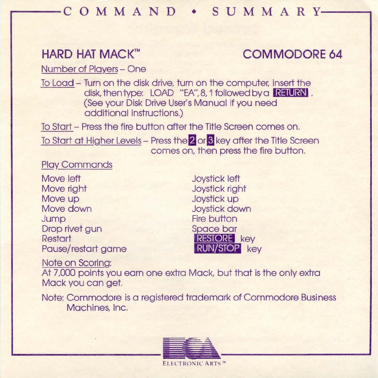## **r**  $O$  **M M A N D** • **S U M M A R Y-**

# **HARD HAT MACK"' COMMODORE 64**

Number of Players - One

To Load- Turn on the disk drive, turn on the computer, insert the disk, then type: LOAD "EA", 8, 1 followed by a RETURN. (See your Disk Drive User's Manual if you need additional instructions.)

To Start - Press the fire button after the Title Screen comes on.

To Start at Higher Levels - Press the  $2$  or  $3$  key after the Title Screen comes on, then press the fire button.

Play Commands

Move left Move right Move up Move down Jump Drop rivet gun Restart Pause/ restart game Joystick left Joystick right Joystick up Joystick down Fire button Space bar<br>RESIORE kev **RUN/STOP** key

Note on Scoring: At 7.000 points you earn one extra Mack, but that is the only extra Mack you can get.

Note: Commodore is a registered trademark of Commodore Business Machines, Inc.



**ELECTRONIC ARTS \*\***